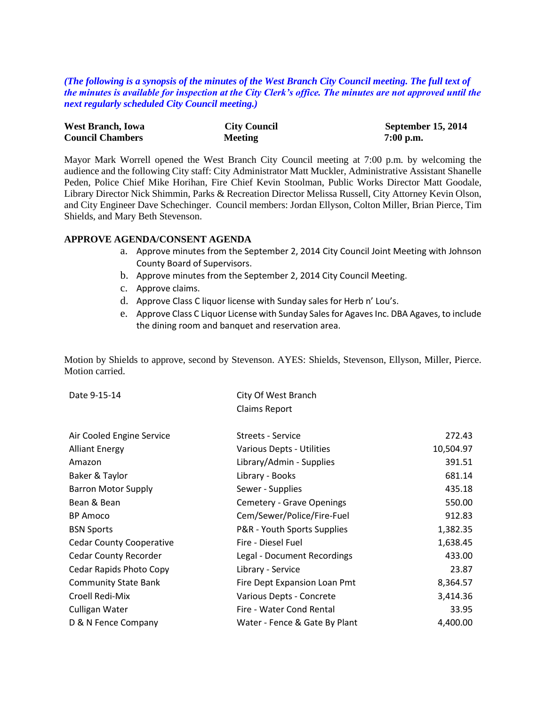*(The following is a synopsis of the minutes of the West Branch City Council meeting. The full text of the minutes is available for inspection at the City Clerk's office. The minutes are not approved until the next regularly scheduled City Council meeting.)*

| <b>West Branch, Iowa</b> | <b>City Council</b> | <b>September 15, 2014</b> |
|--------------------------|---------------------|---------------------------|
| <b>Council Chambers</b>  | <b>Meeting</b>      | $7:00$ p.m.               |

Mayor Mark Worrell opened the West Branch City Council meeting at 7:00 p.m. by welcoming the audience and the following City staff: City Administrator Matt Muckler, Administrative Assistant Shanelle Peden, Police Chief Mike Horihan, Fire Chief Kevin Stoolman, Public Works Director Matt Goodale, Library Director Nick Shimmin, Parks & Recreation Director Melissa Russell, City Attorney Kevin Olson, and City Engineer Dave Schechinger. Council members: Jordan Ellyson, Colton Miller, Brian Pierce, Tim Shields, and Mary Beth Stevenson.

#### **APPROVE AGENDA/CONSENT AGENDA**

- a. Approve minutes from the September 2, 2014 City Council Joint Meeting with Johnson County Board of Supervisors.
- b. Approve minutes from the September 2, 2014 City Council Meeting.
- c. Approve claims.
- d. Approve Class C liquor license with Sunday sales for Herb n' Lou's.
- e. Approve Class C Liquor License with Sunday Sales for Agaves Inc. DBA Agaves, to include the dining room and banquet and reservation area.

Motion by Shields to approve, second by Stevenson. AYES: Shields, Stevenson, Ellyson, Miller, Pierce. Motion carried.

| Date 9-15-14 | City Of West Branch  |  |
|--------------|----------------------|--|
|              | <b>Claims Report</b> |  |
|              |                      |  |

| Air Cooled Engine Service       | <b>Streets - Service</b>      | 272.43    |
|---------------------------------|-------------------------------|-----------|
| <b>Alliant Energy</b>           | Various Depts - Utilities     | 10,504.97 |
| Amazon                          | Library/Admin - Supplies      | 391.51    |
| Baker & Taylor                  | Library - Books               | 681.14    |
| <b>Barron Motor Supply</b>      | Sewer - Supplies              | 435.18    |
| Bean & Bean                     | Cemetery - Grave Openings     | 550.00    |
| <b>BP</b> Amoco                 | Cem/Sewer/Police/Fire-Fuel    | 912.83    |
| <b>BSN Sports</b>               | P&R - Youth Sports Supplies   | 1,382.35  |
| <b>Cedar County Cooperative</b> | Fire - Diesel Fuel            | 1,638.45  |
| <b>Cedar County Recorder</b>    | Legal - Document Recordings   | 433.00    |
| Cedar Rapids Photo Copy         | Library - Service             | 23.87     |
| <b>Community State Bank</b>     | Fire Dept Expansion Loan Pmt  | 8,364.57  |
| Croell Redi-Mix                 | Various Depts - Concrete      | 3,414.36  |
| Culligan Water                  | Fire - Water Cond Rental      | 33.95     |
| D & N Fence Company             | Water - Fence & Gate By Plant | 4,400.00  |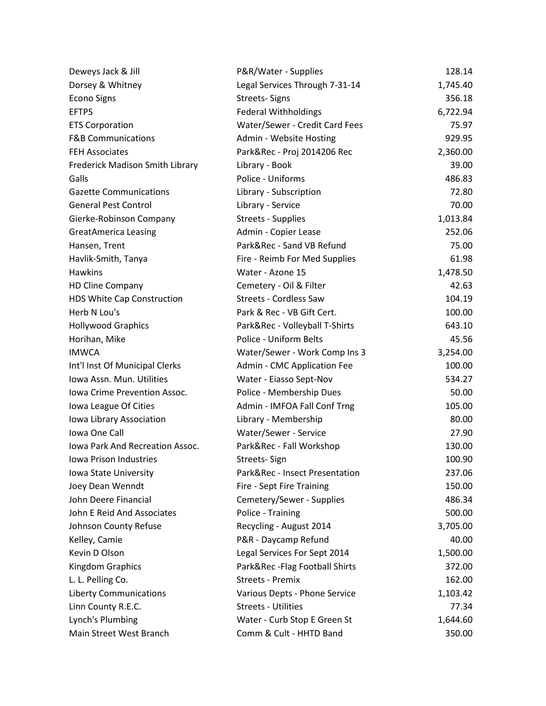| Deweys Jack & Jill              | P&R/Water - Supplies           | 128.14   |
|---------------------------------|--------------------------------|----------|
| Dorsey & Whitney                | Legal Services Through 7-31-14 | 1,745.40 |
| <b>Econo Signs</b>              | <b>Streets-Signs</b>           | 356.18   |
| <b>EFTPS</b>                    | <b>Federal Withholdings</b>    | 6,722.94 |
| <b>ETS Corporation</b>          | Water/Sewer - Credit Card Fees | 75.97    |
| <b>F&amp;B Communications</b>   | Admin - Website Hosting        | 929.95   |
| <b>FEH Associates</b>           | Park&Rec - Proj 2014206 Rec    | 2,360.00 |
| Frederick Madison Smith Library | Library - Book                 | 39.00    |
| Galls                           | Police - Uniforms              | 486.83   |
| <b>Gazette Communications</b>   | Library - Subscription         | 72.80    |
| <b>General Pest Control</b>     | Library - Service              | 70.00    |
| Gierke-Robinson Company         | <b>Streets - Supplies</b>      | 1,013.84 |
| <b>GreatAmerica Leasing</b>     | Admin - Copier Lease           | 252.06   |
| Hansen, Trent                   | Park&Rec - Sand VB Refund      | 75.00    |
| Havlik-Smith, Tanya             | Fire - Reimb For Med Supplies  | 61.98    |
| <b>Hawkins</b>                  | Water - Azone 15               | 1,478.50 |
| <b>HD Cline Company</b>         | Cemetery - Oil & Filter        | 42.63    |
| HDS White Cap Construction      | <b>Streets - Cordless Saw</b>  | 104.19   |
| Herb N Lou's                    | Park & Rec - VB Gift Cert.     | 100.00   |
| <b>Hollywood Graphics</b>       | Park&Rec - Volleyball T-Shirts | 643.10   |
| Horihan, Mike                   | Police - Uniform Belts         | 45.56    |
| <b>IMWCA</b>                    | Water/Sewer - Work Comp Ins 3  | 3,254.00 |
| Int'l Inst Of Municipal Clerks  | Admin - CMC Application Fee    | 100.00   |
| Iowa Assn. Mun. Utilities       | Water - Eiasso Sept-Nov        | 534.27   |
| Iowa Crime Prevention Assoc.    | Police - Membership Dues       | 50.00    |
| Iowa League Of Cities           | Admin - IMFOA Fall Conf Trng   | 105.00   |
| Iowa Library Association        | Library - Membership           | 80.00    |
| Iowa One Call                   | Water/Sewer - Service          | 27.90    |
| Iowa Park And Recreation Assoc. | Park&Rec - Fall Workshop       | 130.00   |
| Iowa Prison Industries          | Streets-Sign                   | 100.90   |
| Iowa State University           | Park&Rec - Insect Presentation | 237.06   |
| Joey Dean Wenndt                | Fire - Sept Fire Training      | 150.00   |
| John Deere Financial            | Cemetery/Sewer - Supplies      | 486.34   |
| John E Reid And Associates      | Police - Training              | 500.00   |
| Johnson County Refuse           | Recycling - August 2014        | 3,705.00 |
| Kelley, Camie                   | P&R - Daycamp Refund           | 40.00    |
| Kevin D Olson                   | Legal Services For Sept 2014   | 1,500.00 |
| Kingdom Graphics                | Park&Rec-Flag Football Shirts  | 372.00   |
| L. L. Pelling Co.               | <b>Streets - Premix</b>        | 162.00   |
| <b>Liberty Communications</b>   | Various Depts - Phone Service  | 1,103.42 |
| Linn County R.E.C.              | <b>Streets - Utilities</b>     | 77.34    |
| Lynch's Plumbing                | Water - Curb Stop E Green St   | 1,644.60 |
| Main Street West Branch         | Comm & Cult - HHTD Band        | 350.00   |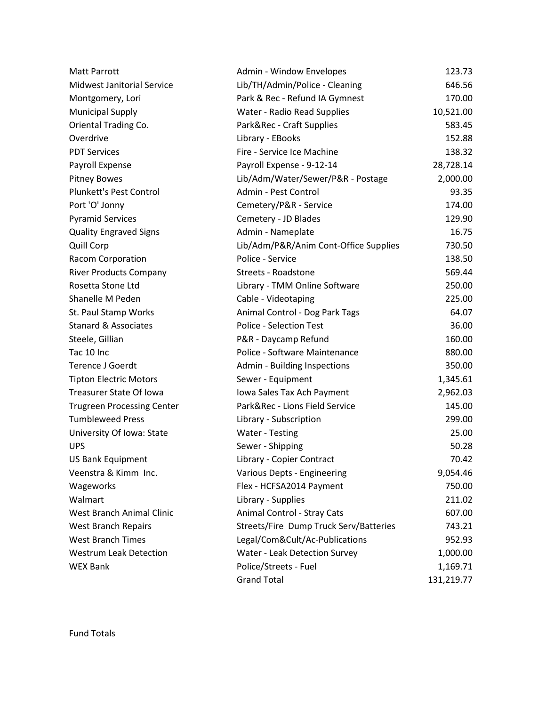| <b>Matt Parrott</b>               | Admin - Window Envelopes               | 123.73     |
|-----------------------------------|----------------------------------------|------------|
| <b>Midwest Janitorial Service</b> | Lib/TH/Admin/Police - Cleaning         | 646.56     |
| Montgomery, Lori                  | Park & Rec - Refund IA Gymnest         | 170.00     |
| <b>Municipal Supply</b>           | Water - Radio Read Supplies            | 10,521.00  |
| Oriental Trading Co.              | Park&Rec - Craft Supplies              | 583.45     |
| Overdrive                         | Library - EBooks                       | 152.88     |
| <b>PDT Services</b>               | Fire - Service Ice Machine             | 138.32     |
| Payroll Expense                   | Payroll Expense - 9-12-14              | 28,728.14  |
| <b>Pitney Bowes</b>               | Lib/Adm/Water/Sewer/P&R - Postage      | 2,000.00   |
| Plunkett's Pest Control           | Admin - Pest Control                   | 93.35      |
| Port 'O' Jonny                    | Cemetery/P&R - Service                 | 174.00     |
| <b>Pyramid Services</b>           | Cemetery - JD Blades                   | 129.90     |
| <b>Quality Engraved Signs</b>     | Admin - Nameplate                      | 16.75      |
| <b>Quill Corp</b>                 | Lib/Adm/P&R/Anim Cont-Office Supplies  | 730.50     |
| Racom Corporation                 | Police - Service                       | 138.50     |
| <b>River Products Company</b>     | Streets - Roadstone                    | 569.44     |
| Rosetta Stone Ltd                 | Library - TMM Online Software          | 250.00     |
| Shanelle M Peden                  | Cable - Videotaping                    | 225.00     |
| St. Paul Stamp Works              | Animal Control - Dog Park Tags         | 64.07      |
| <b>Stanard &amp; Associates</b>   | <b>Police - Selection Test</b>         | 36.00      |
| Steele, Gillian                   | P&R - Daycamp Refund                   | 160.00     |
| Tac 10 Inc                        | Police - Software Maintenance          | 880.00     |
| <b>Terence J Goerdt</b>           | Admin - Building Inspections           | 350.00     |
| <b>Tipton Electric Motors</b>     | Sewer - Equipment                      | 1,345.61   |
| Treasurer State Of Iowa           | Iowa Sales Tax Ach Payment             | 2,962.03   |
| <b>Trugreen Processing Center</b> | Park&Rec - Lions Field Service         | 145.00     |
| <b>Tumbleweed Press</b>           | Library - Subscription                 | 299.00     |
| University Of Iowa: State         | Water - Testing                        | 25.00      |
| <b>UPS</b>                        | Sewer - Shipping                       | 50.28      |
| <b>US Bank Equipment</b>          | Library - Copier Contract              | 70.42      |
| Veenstra & Kimm Inc.              | Various Depts - Engineering            | 9,054.46   |
| Wageworks                         | Flex - HCFSA2014 Payment               | 750.00     |
| Walmart                           | Library - Supplies                     | 211.02     |
| West Branch Animal Clinic         | Animal Control - Stray Cats            | 607.00     |
| <b>West Branch Repairs</b>        | Streets/Fire Dump Truck Serv/Batteries | 743.21     |
| <b>West Branch Times</b>          | Legal/Com&Cult/Ac-Publications         | 952.93     |
| <b>Westrum Leak Detection</b>     | Water - Leak Detection Survey          | 1,000.00   |
| <b>WEX Bank</b>                   | Police/Streets - Fuel                  | 1,169.71   |
|                                   | <b>Grand Total</b>                     | 131,219.77 |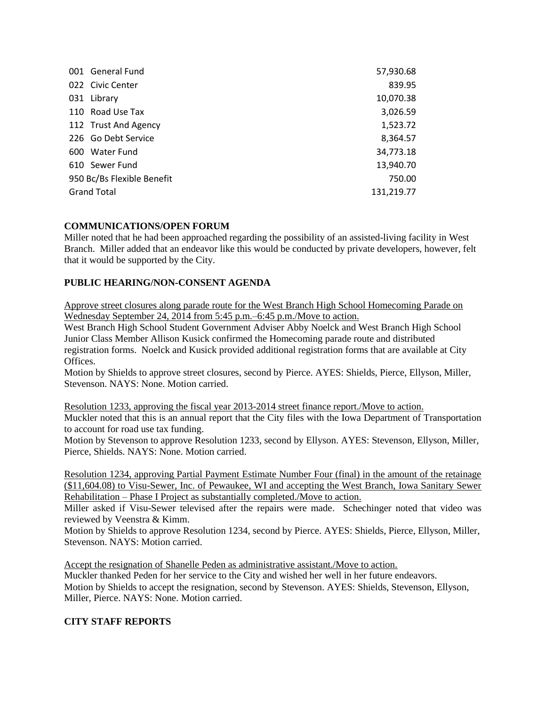| 001 General Fund           | 57,930.68  |
|----------------------------|------------|
| 022 Civic Center           | 839.95     |
| 031 Library                | 10,070.38  |
| 110 Road Use Tax           | 3,026.59   |
| 112 Trust And Agency       | 1,523.72   |
| 226 Go Debt Service        | 8,364.57   |
| 600 Water Fund             | 34,773.18  |
| 610 Sewer Fund             | 13,940.70  |
| 950 Bc/Bs Flexible Benefit | 750.00     |
| <b>Grand Total</b>         | 131,219.77 |

## **COMMUNICATIONS/OPEN FORUM**

Miller noted that he had been approached regarding the possibility of an assisted-living facility in West Branch. Miller added that an endeavor like this would be conducted by private developers, however, felt that it would be supported by the City.

## **PUBLIC HEARING/NON-CONSENT AGENDA**

Approve street closures along parade route for the West Branch High School Homecoming Parade on Wednesday September 24, 2014 from 5:45 p.m.–6:45 p.m./Move to action.

West Branch High School Student Government Adviser Abby Noelck and West Branch High School Junior Class Member Allison Kusick confirmed the Homecoming parade route and distributed registration forms. Noelck and Kusick provided additional registration forms that are available at City Offices.

Motion by Shields to approve street closures, second by Pierce. AYES: Shields, Pierce, Ellyson, Miller, Stevenson. NAYS: None. Motion carried.

Resolution 1233, approving the fiscal year 2013-2014 street finance report./Move to action. Muckler noted that this is an annual report that the City files with the Iowa Department of Transportation to account for road use tax funding.

Motion by Stevenson to approve Resolution 1233, second by Ellyson. AYES: Stevenson, Ellyson, Miller, Pierce, Shields. NAYS: None. Motion carried.

Resolution 1234, approving Partial Payment Estimate Number Four (final) in the amount of the retainage (\$11,604.08) to Visu-Sewer, Inc. of Pewaukee, WI and accepting the West Branch, Iowa Sanitary Sewer Rehabilitation – Phase I Project as substantially completed./Move to action.

Miller asked if Visu-Sewer televised after the repairs were made. Schechinger noted that video was reviewed by Veenstra & Kimm.

Motion by Shields to approve Resolution 1234, second by Pierce. AYES: Shields, Pierce, Ellyson, Miller, Stevenson. NAYS: Motion carried.

Accept the resignation of Shanelle Peden as administrative assistant./Move to action. Muckler thanked Peden for her service to the City and wished her well in her future endeavors. Motion by Shields to accept the resignation, second by Stevenson. AYES: Shields, Stevenson, Ellyson, Miller, Pierce. NAYS: None. Motion carried.

### **CITY STAFF REPORTS**